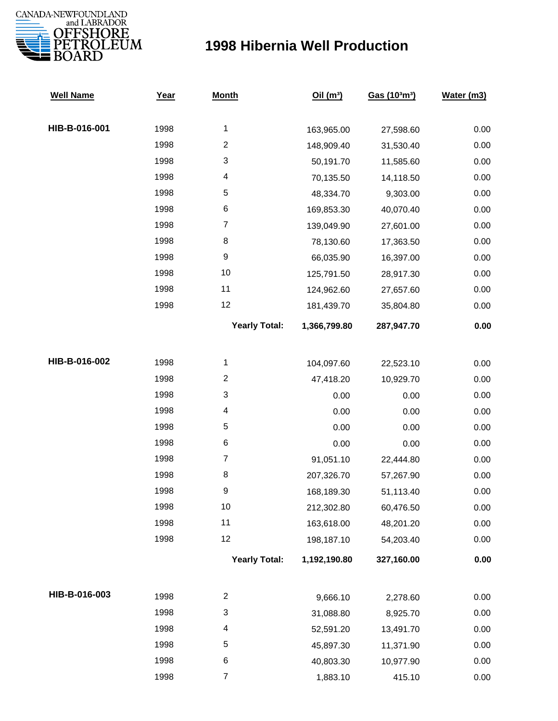

## **1998 Hibernia Well Production**

| <b>Well Name</b> | Year | <b>Month</b>         | Oil $(m^3)$  | Gas (103m3) | Water (m3) |
|------------------|------|----------------------|--------------|-------------|------------|
|                  |      |                      |              |             |            |
| HIB-B-016-001    | 1998 | $\mathbf{1}$         | 163,965.00   | 27,598.60   | 0.00       |
|                  | 1998 | $\overline{c}$       | 148,909.40   | 31,530.40   | 0.00       |
|                  | 1998 | 3                    | 50,191.70    | 11,585.60   | 0.00       |
|                  | 1998 | 4                    | 70,135.50    | 14,118.50   | 0.00       |
|                  | 1998 | $\mathbf 5$          | 48,334.70    | 9,303.00    | 0.00       |
|                  | 1998 | 6                    | 169,853.30   | 40,070.40   | 0.00       |
|                  | 1998 | $\boldsymbol{7}$     | 139,049.90   | 27,601.00   | 0.00       |
|                  | 1998 | 8                    | 78,130.60    | 17,363.50   | 0.00       |
|                  | 1998 | 9                    | 66,035.90    | 16,397.00   | 0.00       |
|                  | 1998 | $10$                 | 125,791.50   | 28,917.30   | 0.00       |
|                  | 1998 | 11                   | 124,962.60   | 27,657.60   | 0.00       |
|                  | 1998 | 12                   | 181,439.70   | 35,804.80   | 0.00       |
|                  |      | <b>Yearly Total:</b> | 1,366,799.80 | 287,947.70  | 0.00       |
| HIB-B-016-002    | 1998 | $\mathbf 1$          | 104,097.60   | 22,523.10   | 0.00       |
|                  | 1998 | $\overline{c}$       | 47,418.20    | 10,929.70   | 0.00       |
|                  | 1998 | 3                    | 0.00         | 0.00        | 0.00       |
|                  | 1998 | 4                    | 0.00         | 0.00        | 0.00       |
|                  | 1998 | $\mathbf 5$          | 0.00         | 0.00        | 0.00       |
|                  | 1998 | 6                    | 0.00         | 0.00        | 0.00       |
|                  | 1998 | $\boldsymbol{7}$     | 91,051.10    | 22,444.80   | 0.00       |
|                  | 1998 | 8                    | 207,326.70   | 57,267.90   | 0.00       |
|                  | 1998 | 9                    | 168,189.30   | 51,113.40   | 0.00       |
|                  | 1998 | 10                   | 212,302.80   | 60,476.50   | 0.00       |
|                  | 1998 | 11                   | 163,618.00   | 48,201.20   | 0.00       |
|                  | 1998 | 12                   | 198,187.10   | 54,203.40   | 0.00       |
|                  |      | <b>Yearly Total:</b> | 1,192,190.80 | 327,160.00  | 0.00       |
|                  |      |                      |              |             |            |
| HIB-B-016-003    | 1998 | $\overline{c}$       | 9,666.10     | 2,278.60    | 0.00       |
|                  | 1998 | 3                    | 31,088.80    | 8,925.70    | 0.00       |
|                  | 1998 | 4                    | 52,591.20    | 13,491.70   | 0.00       |
|                  | 1998 | 5                    | 45,897.30    | 11,371.90   | 0.00       |
|                  | 1998 | 6                    | 40,803.30    | 10,977.90   | 0.00       |
|                  | 1998 | $\overline{7}$       | 1,883.10     | 415.10      | 0.00       |